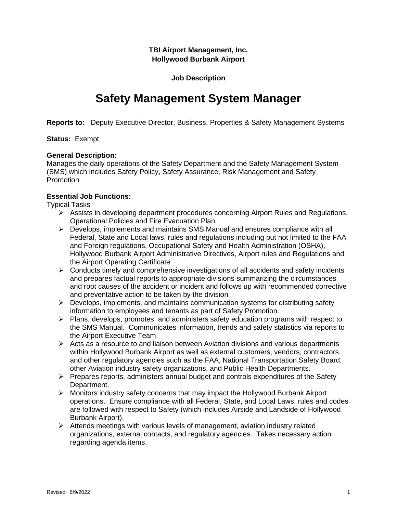**TBI Airport Management, Inc. Hollywood Burbank Airport**

**Job Description**

# **Safety Management System Manager**

**Reports to:** Deputy Executive Director, Business, Properties & Safety Management Systems

# **Status:** Exempt

# **General Description:**

Manages the daily operations of the Safety Department and the Safety Management System (SMS) which includes Safety Policy, Safety Assurance, Risk Management and Safety Promotion

# **Essential Job Functions:**

Typical Tasks

- ➢ Assists in developing department procedures concerning Airport Rules and Regulations, Operational Policies and Fire Evacuation Plan
- ➢ Develops, implements and maintains SMS Manual and ensures compliance with all Federal, State and Local laws, rules and regulations including but not limited to the FAA and Foreign regulations, Occupational Safety and Health Administration (OSHA), Hollywood Burbank Airport Administrative Directives, Airport rules and Regulations and the Airport Operating Certificate
- ➢ Conducts timely and comprehensive investigations of all accidents and safety incidents and prepares factual reports to appropriate divisions summarizing the circumstances and root causes of the accident or incident and follows up with recommended corrective and preventative action to be taken by the division
- $\triangleright$  Develops, implements, and maintains communication systems for distributing safety information to employees and tenants as part of Safety Promotion.
- $\triangleright$  Plans, develops, promotes, and administers safety education programs with respect to the SMS Manual. Communicates information, trends and safety statistics via reports to the Airport Executive Team.
- $\triangleright$  Acts as a resource to and liaison between Aviation divisions and various departments within Hollywood Burbank Airport as well as external customers, vendors, contractors, and other regulatory agencies such as the FAA, National Transportation Safety Board, other Aviation industry safety organizations, and Public Health Departments.
- $\triangleright$  Prepares reports, administers annual budget and controls expenditures of the Safety Department.
- $\triangleright$  Monitors industry safety concerns that may impact the Hollywood Burbank Airport operations. Ensure compliance with all Federal, State, and Local Laws, rules and codes are followed with respect to Safety (which includes Airside and Landside of Hollywood Burbank Airport).
- ➢ Attends meetings with various levels of management, aviation industry related organizations, external contacts, and regulatory agencies. Takes necessary action regarding agenda items.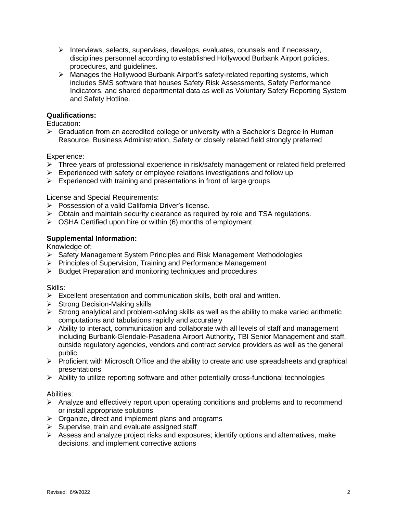- ➢ Interviews, selects, supervises, develops, evaluates, counsels and if necessary, disciplines personnel according to established Hollywood Burbank Airport policies, procedures, and guidelines.
- ➢ Manages the Hollywood Burbank Airport's safety-related reporting systems, which includes SMS software that houses Safety Risk Assessments, Safety Performance Indicators, and shared departmental data as well as Voluntary Safety Reporting System and Safety Hotline.

# **Qualifications:**

Education:

 $\triangleright$  Graduation from an accredited college or university with a Bachelor's Degree in Human Resource, Business Administration, Safety or closely related field strongly preferred

# Experience:

- ➢ Three years of professional experience in risk/safety management or related field preferred
- $\triangleright$  Experienced with safety or employee relations investigations and follow up
- $\triangleright$  Experienced with training and presentations in front of large groups

License and Special Requirements:

- ➢ Possession of a valid California Driver's license.
- ➢ Obtain and maintain security clearance as required by role and TSA regulations.
- ➢ OSHA Certified upon hire or within (6) months of employment

# **Supplemental Information:**

Knowledge of:

- ➢ Safety Management System Principles and Risk Management Methodologies
- ➢ Principles of Supervision, Training and Performance Management
- ➢ Budget Preparation and monitoring techniques and procedures

Skills:

- ➢ Excellent presentation and communication skills, both oral and written.
- ➢ Strong Decision-Making skills
- $\triangleright$  Strong analytical and problem-solving skills as well as the ability to make varied arithmetic computations and tabulations rapidly and accurately
- ➢ Ability to interact, communication and collaborate with all levels of staff and management including Burbank-Glendale-Pasadena Airport Authority, TBI Senior Management and staff, outside regulatory agencies, vendors and contract service providers as well as the general public
- $\triangleright$  Proficient with Microsoft Office and the ability to create and use spreadsheets and graphical presentations
- $\triangleright$  Ability to utilize reporting software and other potentially cross-functional technologies

#### Abilities:

- ➢ Analyze and effectively report upon operating conditions and problems and to recommend or install appropriate solutions
- $\triangleright$  Organize, direct and implement plans and programs
- ➢ Supervise, train and evaluate assigned staff
- ➢ Assess and analyze project risks and exposures; identify options and alternatives, make decisions, and implement corrective actions